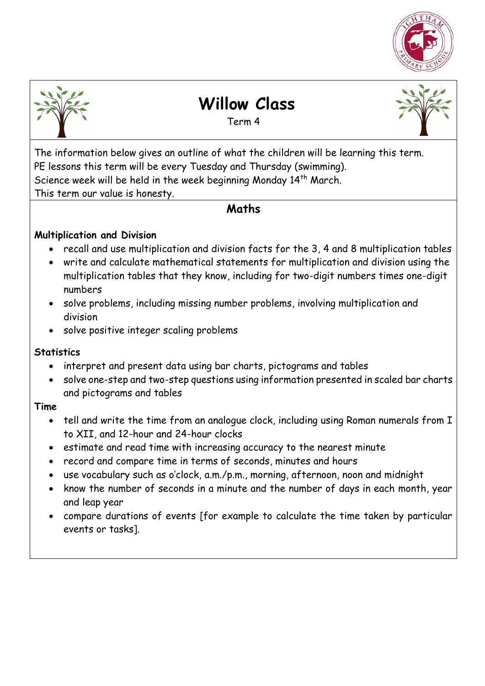



# **Willow Class**

Term 4



The information below gives an outline of what the children will be learning this term. PE lessons this term will be every Tuesday and Thursday (swimming). Science week will be held in the week beginning Monday 14th March. This term our value is honesty.

#### **Maths**

#### **Multiplication and Division**

- recall and use multiplication and division facts for the 3, 4 and 8 multiplication tables
- write and calculate mathematical statements for multiplication and division using the multiplication tables that they know, including for two-digit numbers times one-digit numbers
- solve problems, including missing number problems, involving multiplication and division
- solve positive integer scaling problems

#### **Statistics**

- interpret and present data using bar charts, pictograms and tables
- solve one-step and two-step questions using information presented in scaled bar charts and pictograms and tables

#### **Time**

- tell and write the time from an analogue clock, including using Roman numerals from I to XII, and 12-hour and 24-hour clocks
- estimate and read time with increasing accuracy to the nearest minute
- record and compare time in terms of seconds, minutes and hours
- use vocabulary such as o'clock, a.m./p.m., morning, afternoon, noon and midnight
- know the number of seconds in a minute and the number of days in each month, year and leap year
- compare durations of events [for example to calculate the time taken by particular events or tasks].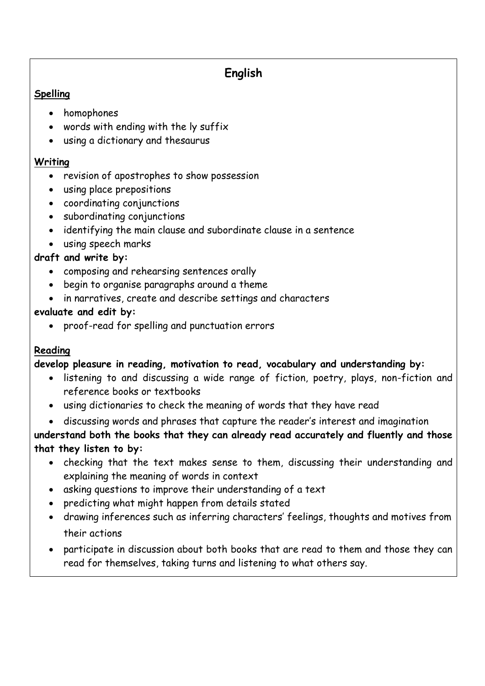# **English**

#### **Spelling**

- homophones
- words with ending with the ly suffix
- using a dictionary and thesaurus

#### **Writing**

- revision of apostrophes to show possession
- using place prepositions
- coordinating conjunctions
- subordinating conjunctions
- identifying the main clause and subordinate clause in a sentence
- using speech marks

#### **draft and write by:**

- composing and rehearsing sentences orally
- begin to organise paragraphs around a theme
- in narratives, create and describe settings and characters

#### **evaluate and edit by:**

proof-read for spelling and punctuation errors

#### **Reading**

#### **develop pleasure in reading, motivation to read, vocabulary and understanding by:**

- listening to and discussing a wide range of fiction, poetry, plays, non-fiction and reference books or textbooks
- using dictionaries to check the meaning of words that they have read
- discussing words and phrases that capture the reader's interest and imagination

**understand both the books that they can already read accurately and fluently and those that they listen to by:** 

- checking that the text makes sense to them, discussing their understanding and explaining the meaning of words in context
- asking questions to improve their understanding of a text
- predicting what might happen from details stated
- drawing inferences such as inferring characters' feelings, thoughts and motives from their actions
- participate in discussion about both books that are read to them and those they can read for themselves, taking turns and listening to what others say.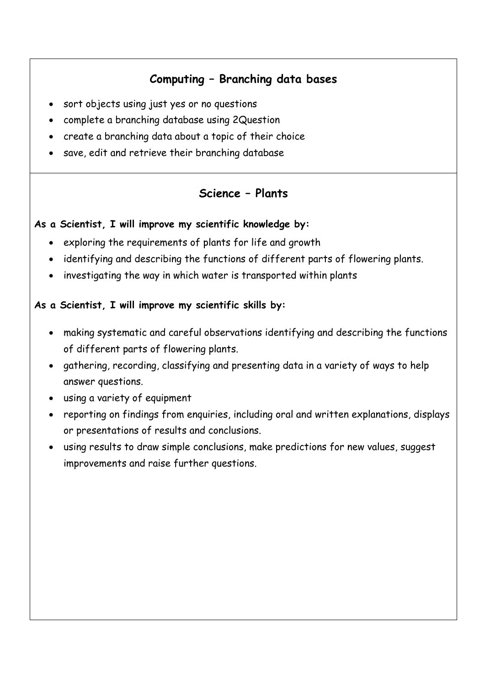## **Computing – Branching data bases**

- sort objects using just yes or no questions
- complete a branching database using 2Question
- create a branching data about a topic of their choice
- save, edit and retrieve their branching database

#### **Science – Plants**

#### **As a Scientist, I will improve my scientific knowledge by:**

- exploring the requirements of plants for life and growth
- identifying and describing the functions of different parts of flowering plants.
- investigating the way in which water is transported within plants

#### **As a Scientist, I will improve my scientific skills by:**

- making systematic and careful observations identifying and describing the functions of different parts of flowering plants.
- gathering, recording, classifying and presenting data in a variety of ways to help answer questions.
- using a variety of equipment
- reporting on findings from enquiries, including oral and written explanations, displays or presentations of results and conclusions.
- using results to draw simple conclusions, make predictions for new values, suggest improvements and raise further questions.